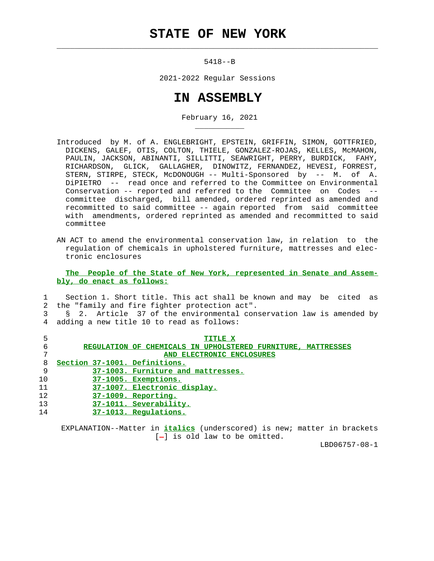## **STATE OF NEW YORK**

 $\mathcal{L}_\text{max} = \frac{1}{2} \sum_{i=1}^{n} \frac{1}{2} \sum_{i=1}^{n} \frac{1}{2} \sum_{i=1}^{n} \frac{1}{2} \sum_{i=1}^{n} \frac{1}{2} \sum_{i=1}^{n} \frac{1}{2} \sum_{i=1}^{n} \frac{1}{2} \sum_{i=1}^{n} \frac{1}{2} \sum_{i=1}^{n} \frac{1}{2} \sum_{i=1}^{n} \frac{1}{2} \sum_{i=1}^{n} \frac{1}{2} \sum_{i=1}^{n} \frac{1}{2} \sum_{i=1}^{n} \frac{1$ 

\_\_\_\_\_\_\_\_\_\_\_

5418--B

2021-2022 Regular Sessions

## **IN ASSEMBLY**

February 16, 2021

- Introduced by M. of A. ENGLEBRIGHT, EPSTEIN, GRIFFIN, SIMON, GOTTFRIED, DICKENS, GALEF, OTIS, COLTON, THIELE, GONZALEZ-ROJAS, KELLES, McMAHON, PAULIN, JACKSON, ABINANTI, SILLITTI, SEAWRIGHT, PERRY, BURDICK, FAHY, RICHARDSON, GLICK, GALLAGHER, DINOWITZ, FERNANDEZ, HEVESI, FORREST, STERN, STIRPE, STECK, McDONOUGH -- Multi-Sponsored by -- M. of A. DiPIETRO -- read once and referred to the Committee on Environmental Conservation -- reported and referred to the Committee on Codes - committee discharged, bill amended, ordered reprinted as amended and recommitted to said committee -- again reported from said committee with amendments, ordered reprinted as amended and recommitted to said committee
- AN ACT to amend the environmental conservation law, in relation to the regulation of chemicals in upholstered furniture, mattresses and elec tronic enclosures

 **The People of the State of New York, represented in Senate and Assem bly, do enact as follows:**

## 1 Section 1. Short title. This act shall be known and may be cited as 2 the "family and fire fighter protection act". 3 § 2. Article 37 of the environmental conservation law is amended by 4 adding a new title 10 to read as follows:

| 5  | <b>TITLE X</b>                                               |
|----|--------------------------------------------------------------|
| б  | REGULATION OF CHEMICALS IN UPHOLSTERED FURNITURE, MATTRESSES |
| 7  | AND ELECTRONIC ENCLOSURES                                    |
| 8  | Section 37-1001. Definitions.                                |
| 9  | 37-1003. Furniture and mattresses.                           |
| 10 | 37-1005. Exemptions.                                         |
| 11 | 37-1007. Electronic display.                                 |
| 12 | 37-1009. Reporting.                                          |
| 13 | 37-1011. Severability.                                       |
| 14 | 37-1013. Regulations.                                        |

 EXPLANATION--Matter in **italics** (underscored) is new; matter in brackets  $[-]$  is old law to be omitted.

LBD06757-08-1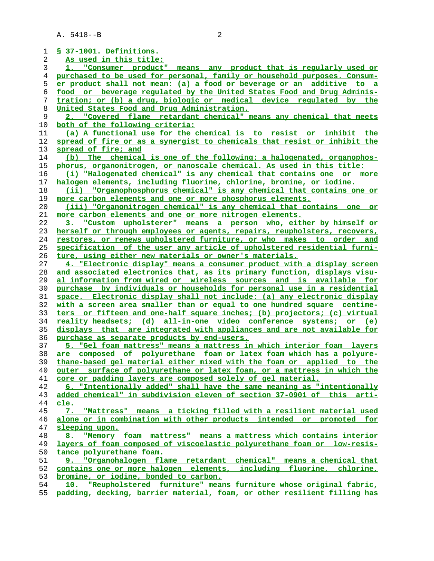A. 5418--B 2

**§ 37-1001. Definitions. As used in this title: 1. "Consumer product" means any product that is regularly used or purchased to be used for personal, family or household purposes. Consum- er product shall not mean: (a) a food or beverage or an additive to a food or beverage regulated by the United States Food and Drug Adminis- tration; or (b) a drug, biologic or medical device regulated by the United States Food and Drug Administration. 2. "Covered flame retardant chemical" means any chemical that meets both of the following criteria: (a) A functional use for the chemical is to resist or inhibit the spread of fire or as a synergist to chemicals that resist or inhibit the spread of fire; and (b) The chemical is one of the following: a halogenated, organophos- phorus, organonitrogen, or nanoscale chemical. As used in this title: (i) "Halogenated chemical" is any chemical that contains one or more halogen elements, including fluorine, chlorine, bromine, or iodine. (ii) "Organophosphorus chemical" is any chemical that contains one or more carbon elements and one or more phosphorus elements. (iii) "Organonitrogen chemical" is any chemical that contains one or more carbon elements and one or more nitrogen elements. 3. "Custom upholsterer" means a person who, either by himself or herself or through employees or agents, repairs, reupholsters, recovers, restores, or renews upholstered furniture, or who makes to order and specification of the user any article of upholstered residential furni- ture, using either new materials or owner's materials. 4. "Electronic display" means a consumer product with a display screen and associated electronics that, as its primary function, displays visu- al information from wired or wireless sources and is available for purchase by individuals or households for personal use in a residential space. Electronic display shall not include: (a) any electronic display with a screen area smaller than or equal to one hundred square centime- ters or fifteen and one-half square inches; (b) projectors; (c) virtual reality headsets; (d) all-in-one video conference systems; or (e) displays that are integrated with appliances and are not available for purchase as separate products by end-users. 5. "Gel foam mattress" means a mattress in which interior foam layers are composed of polyurethane foam or latex foam which has a polyure- thane-based gel material either mixed with the foam or applied to the outer surface of polyurethane or latex foam, or a mattress in which the core or padding layers are composed solely of gel material. 6. "Intentionally added" shall have the same meaning as "intentionally added chemical" in subdivision eleven of section 37-0901 of this arti- cle. 7. "Mattress" means a ticking filled with a resilient material used alone or in combination with other products intended or promoted for sleeping upon. 8. "Memory foam mattress" means a mattress which contains interior layers of foam composed of viscoelastic polyurethane foam or low-resis- tance polyurethane foam. 9. "Organohalogen flame retardant chemical" means a chemical that contains one or more halogen elements, including fluorine, chlorine, bromine, or iodine, bonded to carbon. 10. "Reupholstered furniture" means furniture whose original fabric, padding, decking, barrier material, foam, or other resilient filling has**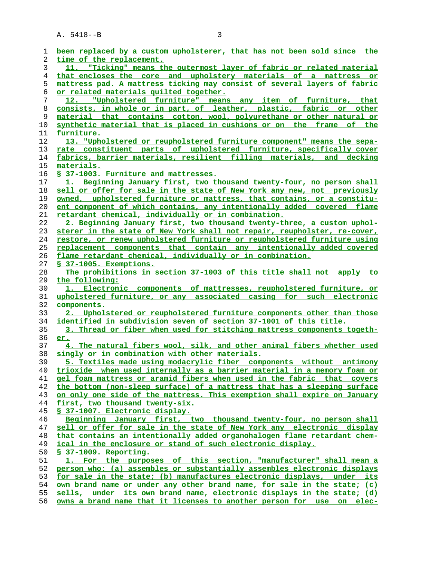A. 5418--B 3

| 1        | been replaced by a custom upholsterer, that has not been sold since the                                                                            |
|----------|----------------------------------------------------------------------------------------------------------------------------------------------------|
| 2        | time of the replacement.                                                                                                                           |
| 3        | 11. "Ticking" means the outermost layer of fabric or related material                                                                              |
| 4        | that encloses the core and upholstery materials of a mattress or                                                                                   |
| 5        | mattress pad. A mattress ticking may consist of several layers of fabric                                                                           |
| 6        | or related materials quilted together.                                                                                                             |
| 7        | 12. "Upholstered furniture" means any item of furniture, that                                                                                      |
| 8        | consists, in whole or in part, of leather, plastic, fabric or other                                                                                |
| 9        | material that contains cotton, wool, polyurethane or other natural or                                                                              |
| 10       | synthetic material that is placed in cushions or on the frame of the                                                                               |
| 11       | furniture.                                                                                                                                         |
| 12       | 13. "Upholstered or reupholstered furniture component" means the sepa-                                                                             |
| 13       | rate constituent parts of upholstered furniture, specifically cover                                                                                |
| 14       | fabrics, barrier materials, resilient filling materials, and decking                                                                               |
| 15       | materials.                                                                                                                                         |
| 16       | § 37-1003. Furniture and mattresses.                                                                                                               |
| 17       | 1. Beginning January first, two thousand twenty-four, no person shall                                                                              |
| 18       | sell or offer for sale in the state of New York any new, not previously                                                                            |
| 19       | owned, upholstered furniture or mattress, that contains, or a constitu-                                                                            |
| 20       | ent component of which contains, any intentionally added covered flame                                                                             |
| 21       | <u>retardant chemical, individually or in combination.</u>                                                                                         |
| 22       | 2. Beginning January first, two thousand twenty-three, a custom uphol-                                                                             |
| 23       | sterer in the state of New York shall not repair, reupholster, re-cover,                                                                           |
| 24       | <u>restore, or renew upholstered furniture or reupholstered furniture using</u>                                                                    |
| 25       | replacement components that contain any intentionally added covered                                                                                |
| 26       | flame retardant chemical, individually or in combination.                                                                                          |
| 27       | § 37-1005. Exemptions.                                                                                                                             |
| 28       | The prohibitions in section 37-1003 of this title shall not apply to                                                                               |
| 29       | the following:                                                                                                                                     |
| 30       | 1. Electronic components of mattresses, reupholstered furniture, or                                                                                |
| 31       | upholstered furniture, or any associated casing for such electronic                                                                                |
| 32       | components.                                                                                                                                        |
| 33       | 2. Upholstered or reupholstered furniture components other than those                                                                              |
| 34       | identified in subdivision seven of section 37-1001 of this title.                                                                                  |
| 35       | 3. Thread or fiber when used for stitching mattress components togeth-                                                                             |
| 36       | er.                                                                                                                                                |
| 37       | 4. The natural fibers wool, silk, and other animal fibers whether used                                                                             |
| 38       | singly or in combination with other materials.                                                                                                     |
| 39       | 5. Textiles made using modacrylic fiber components without antimony                                                                                |
| 40       | trioxide when used internally as a barrier material in a memory foam or                                                                            |
| 41       | gel foam mattress or aramid fibers when used in the fabric that covers                                                                             |
| 42       | the bottom (non-sleep surface) of a mattress that has a sleeping surface                                                                           |
| 43       | on only one side of the mattress. This exemption shall expire on January                                                                           |
| 44       | first, two thousand twenty-six.                                                                                                                    |
| 45       | § 37-1007. Electronic display.                                                                                                                     |
| 46       | Beginning January first, two thousand twenty-four, no person shall                                                                                 |
| 47       | sell or offer for sale in the state of New York any electronic display                                                                             |
| 48       | that contains an intentionally added organohalogen flame retardant chem-                                                                           |
| 49       | ical in the enclosure or stand of such electronic display.                                                                                         |
| 50       | § 37-1009. Reporting.                                                                                                                              |
| 51       | 1. For the purposes of this section, "manufacturer" shall mean a                                                                                   |
| 52       | person who: (a) assembles or substantially assembles electronic displays                                                                           |
| 53<br>54 | for sale in the state; (b) manufactures electronic displays, under its                                                                             |
| 55       | own brand name or under any other brand name, for sale in the state; (c)<br>sells, under its own brand name, electronic displays in the state; (d) |
| 56       | owns a brand name that it licenses to another person for use on<br>elec-                                                                           |
|          |                                                                                                                                                    |